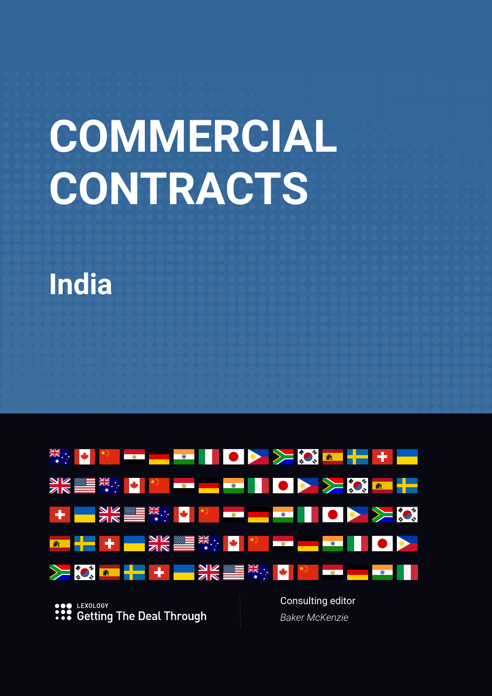# **COMMERCIAL CONTRACTS**





LEXOLOGY **Getting The Deal Through**  *Baker McKenzie*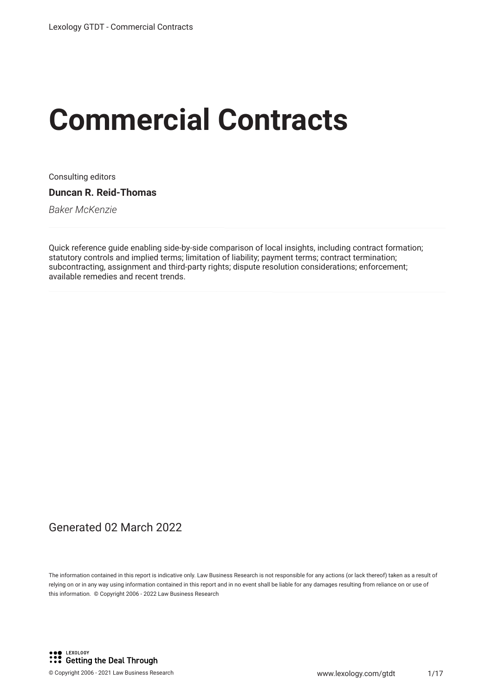# **Commercial Contracts**

Consulting editors

**Duncan R. Reid-Thomas**

*Baker McKenzie*

Quick reference guide enabling side-by-side comparison of local insights, including contract formation; statutory controls and implied terms; limitation of liability; payment terms; contract termination; subcontracting, assignment and third-party rights; dispute resolution considerations; enforcement; available remedies and recent trends.

# Generated 02 March 2022

The information contained in this report is indicative only. Law Business Research is not responsible for any actions (or lack thereof) taken as a result of relying on or in any way using information contained in this report and in no event shall be liable for any damages resulting from reliance on or use of this information. © Copyright 2006 - 2022 Law Business Research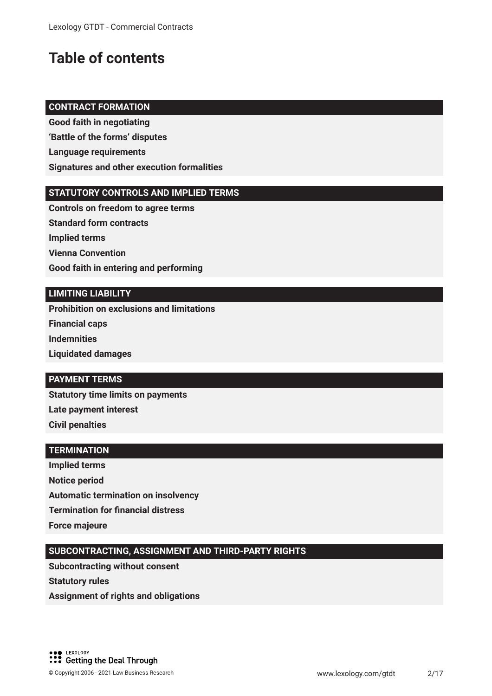# **Table of contents**

# **CONTRACT FORMATION**

**Good faith in negotiating 'Battle of the forms' disputes Language requirements Signatures and other execution formalities**

# **STATUTORY CONTROLS AND IMPLIED TERMS**

**Controls on freedom to agree terms Standard form contracts Implied terms Vienna Convention Good faith in entering and performing** 

# **LIMITING LIABILITY**

**Prohibition on exclusions and limitations Financial caps Indemnities Liquidated damages**

# **PAYMENT TERMS**

**Statutory time limits on payments Late payment interest Civil penalties**

# **TERMINATION**

**Implied terms Notice period Automatic termination on insolvency Termination for fnancial distress Force majeure**

# **SUBCONTRACTING, ASSIGNMENT AND THIRD-PARTY RIGHTS**

**Subcontracting without consent Statutory rules Assignment of rights and obligations**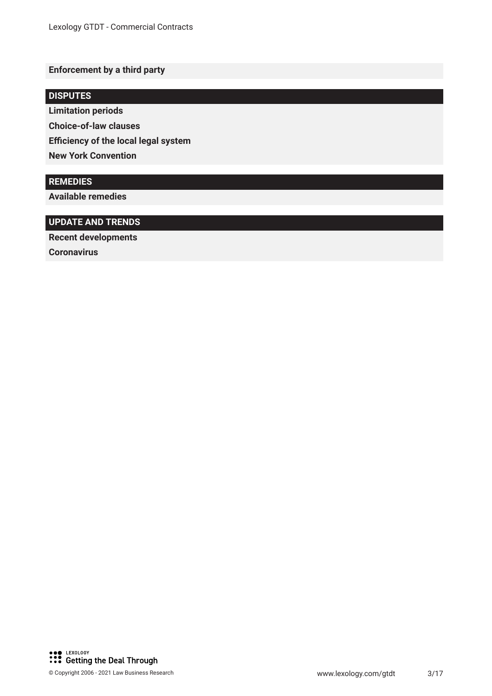# **Enforcement by a third party**

# **DISPUTES**

**Limitation periods**

**Choice-of-law clauses**

**Efficiency of the local legal system** 

**New York Convention**

# **REMEDIES**

**Available remedies**

# **UPDATE AND TRENDS**

**Recent developments**

**Coronavirus**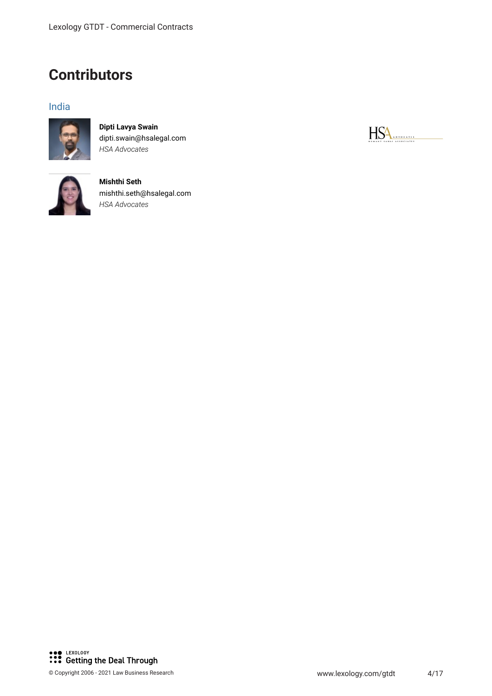# **Contributors**

# India



**Dipti Lavya Swain** dipti.swain@hsalegal.com *HSA Advocates*



**Mishthi Seth** mishthi.seth@hsalegal.com *HSA Advocates*

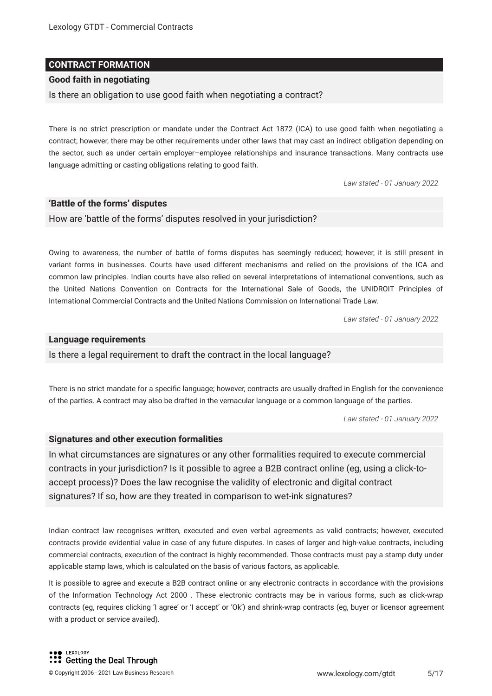# **CONTRACT FORMATION**

# **Good faith in negotiating**

Is there an obligation to use good faith when negotiating a contract?

There is no strict prescription or mandate under the Contract Act 1872 (ICA) to use good faith when negotiating a contract; however, there may be other requirements under other laws that may cast an indirect obligation depending on the sector, such as under certain employer–employee relationships and insurance transactions. Many contracts use language admitting or casting obligations relating to good faith.

*Law stated - 01 January 2022*

# **'Battle of the forms' disputes**

How are 'battle of the forms' disputes resolved in your jurisdiction?

Owing to awareness, the number of battle of forms disputes has seemingly reduced; however, it is still present in variant forms in businesses. Courts have used different mechanisms and relied on the provisions of the ICA and common law principles. Indian courts have also relied on several interpretations of international conventions, such as the United Nations Convention on Contracts for the International Sale of Goods, the UNIDROIT Principles of International Commercial Contracts and the United Nations Commission on International Trade Law.

*Law stated - 01 January 2022*

# **Language requirements**

Is there a legal requirement to draft the contract in the local language?

There is no strict mandate for a specifc language; however, contracts are usually drafted in English for the convenience of the parties. A contract may also be drafted in the vernacular language or a common language of the parties.

*Law stated - 01 January 2022*

# **Signatures and other execution formalities**

In what circumstances are signatures or any other formalities required to execute commercial contracts in your jurisdiction? Is it possible to agree a B2B contract online (eg, using a click-toaccept process)? Does the law recognise the validity of electronic and digital contract signatures? If so, how are they treated in comparison to wet-ink signatures?

Indian contract law recognises written, executed and even verbal agreements as valid contracts; however, executed contracts provide evidential value in case of any future disputes. In cases of larger and high-value contracts, including commercial contracts, execution of the contract is highly recommended. Those contracts must pay a stamp duty under applicable stamp laws, which is calculated on the basis of various factors, as applicable.

It is possible to agree and execute a B2B contract online or any electronic contracts in accordance with the provisions of the Information Technology Act 2000 . These electronic contracts may be in various forms, such as click-wrap contracts (eg, requires clicking 'I agree' or 'I accept' or 'Ok') and shrink-wrap contracts (eg, buyer or licensor agreement with a product or service availed).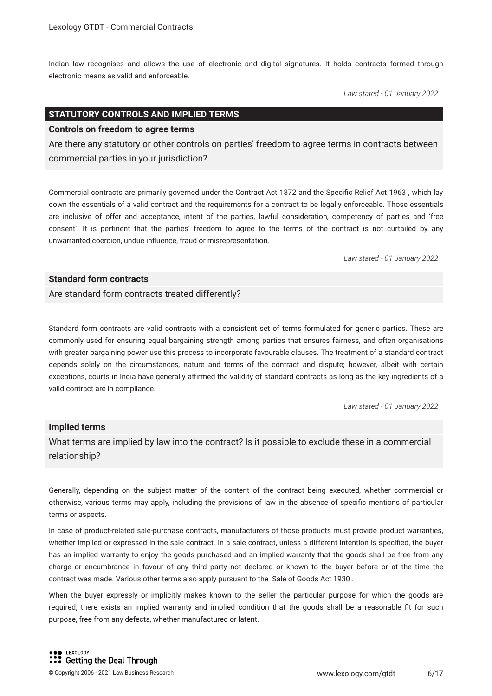Indian law recognises and allows the use of electronic and digital signatures. It holds contracts formed through electronic means as valid and enforceable.

*Law stated - 01 January 2022*

# **STATUTORY CONTROLS AND IMPLIED TERMS**

### **Controls on freedom to agree terms**

Are there any statutory or other controls on parties' freedom to agree terms in contracts between commercial parties in your jurisdiction?

Commercial contracts are primarily governed under the Contract Act 1872 and the Specifc Relief Act 1963 , which lay down the essentials of a valid contract and the requirements for a contract to be legally enforceable. Those essentials are inclusive of offer and acceptance, intent of the parties, lawful consideration, competency of parties and 'free consent'. It is pertinent that the parties' freedom to agree to the terms of the contract is not curtailed by any unwarranted coercion, undue infuence, fraud or misrepresentation.

*Law stated - 01 January 2022*

# **Standard form contracts**

Are standard form contracts treated differently?

Standard form contracts are valid contracts with a consistent set of terms formulated for generic parties. These are commonly used for ensuring equal bargaining strength among parties that ensures fairness, and often organisations with greater bargaining power use this process to incorporate favourable clauses. The treatment of a standard contract depends solely on the circumstances, nature and terms of the contract and dispute; however, albeit with certain exceptions, courts in India have generally affirmed the validity of standard contracts as long as the key ingredients of a valid contract are in compliance.

*Law stated - 01 January 2022*

#### **Implied terms**

What terms are implied by law into the contract? Is it possible to exclude these in a commercial relationship?

Generally, depending on the subject matter of the content of the contract being executed, whether commercial or otherwise, various terms may apply, including the provisions of law in the absence of specifc mentions of particular terms or aspects.

In case of product-related sale-purchase contracts, manufacturers of those products must provide product warranties, whether implied or expressed in the sale contract. In a sale contract, unless a different intention is specifed, the buyer has an implied warranty to enjoy the goods purchased and an implied warranty that the goods shall be free from any charge or encumbrance in favour of any third party not declared or known to the buyer before or at the time the contract was made. Various other terms also apply pursuant to the Sale of Goods Act 1930 .

When the buyer expressly or implicitly makes known to the seller the particular purpose for which the goods are required, there exists an implied warranty and implied condition that the goods shall be a reasonable ft for such purpose, free from any defects, whether manufactured or latent.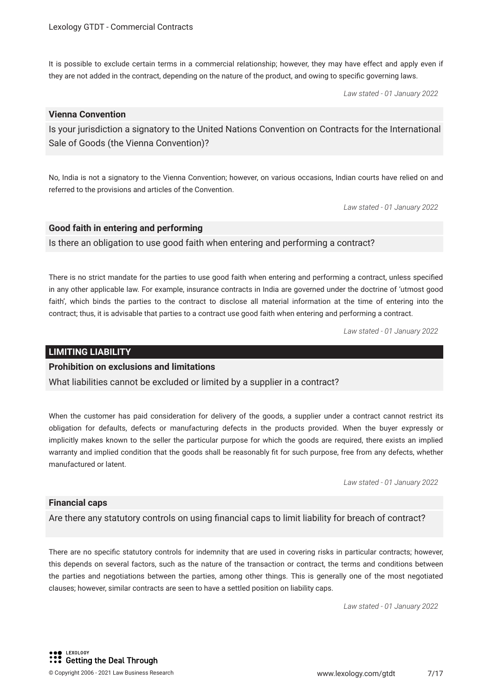It is possible to exclude certain terms in a commercial relationship; however, they may have effect and apply even if they are not added in the contract, depending on the nature of the product, and owing to specifc governing laws.

*Law stated - 01 January 2022*

# **Vienna Convention**

Is your jurisdiction a signatory to the United Nations Convention on Contracts for the International Sale of Goods (the Vienna Convention)?

No, India is not a signatory to the Vienna Convention; however, on various occasions, Indian courts have relied on and referred to the provisions and articles of the Convention.

*Law stated - 01 January 2022*

# **Good faith in entering and performing**

Is there an obligation to use good faith when entering and performing a contract?

There is no strict mandate for the parties to use good faith when entering and performing a contract, unless specifed in any other applicable law. For example, insurance contracts in India are governed under the doctrine of 'utmost good faith', which binds the parties to the contract to disclose all material information at the time of entering into the contract; thus, it is advisable that parties to a contract use good faith when entering and performing a contract.

*Law stated - 01 January 2022*

# **LIMITING LIABILITY**

# **Prohibition on exclusions and limitations**

What liabilities cannot be excluded or limited by a supplier in a contract?

When the customer has paid consideration for delivery of the goods, a supplier under a contract cannot restrict its obligation for defaults, defects or manufacturing defects in the products provided. When the buyer expressly or implicitly makes known to the seller the particular purpose for which the goods are required, there exists an implied warranty and implied condition that the goods shall be reasonably fit for such purpose, free from any defects, whether manufactured or latent.

*Law stated - 01 January 2022*

# **Financial caps**

Are there any statutory controls on using fnancial caps to limit liability for breach of contract?

There are no specifc statutory controls for indemnity that are used in covering risks in particular contracts; however, this depends on several factors, such as the nature of the transaction or contract, the terms and conditions between the parties and negotiations between the parties, among other things. This is generally one of the most negotiated clauses; however, similar contracts are seen to have a settled position on liability caps.

*Law stated - 01 January 2022*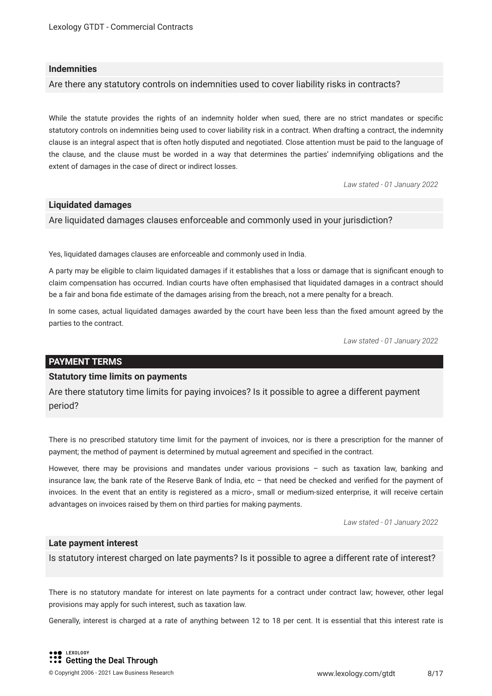# **Indemnities**

Are there any statutory controls on indemnities used to cover liability risks in contracts?

While the statute provides the rights of an indemnity holder when sued, there are no strict mandates or specifc statutory controls on indemnities being used to cover liability risk in a contract. When drafting a contract, the indemnity clause is an integral aspect that is often hotly disputed and negotiated. Close attention must be paid to the language of the clause, and the clause must be worded in a way that determines the parties' indemnifying obligations and the extent of damages in the case of direct or indirect losses.

*Law stated - 01 January 2022*

# **Liquidated damages**

Are liquidated damages clauses enforceable and commonly used in your jurisdiction?

Yes, liquidated damages clauses are enforceable and commonly used in India.

A party may be eligible to claim liquidated damages if it establishes that a loss or damage that is signifcant enough to claim compensation has occurred. Indian courts have often emphasised that liquidated damages in a contract should be a fair and bona fde estimate of the damages arising from the breach, not a mere penalty for a breach.

In some cases, actual liquidated damages awarded by the court have been less than the fxed amount agreed by the parties to the contract.

*Law stated - 01 January 2022*

# **PAYMENT TERMS**

# **Statutory time limits on payments**

Are there statutory time limits for paying invoices? Is it possible to agree a different payment period?

There is no prescribed statutory time limit for the payment of invoices, nor is there a prescription for the manner of payment; the method of payment is determined by mutual agreement and specifed in the contract.

However, there may be provisions and mandates under various provisions – such as taxation law, banking and insurance law, the bank rate of the Reserve Bank of India, etc – that need be checked and verifed for the payment of invoices. In the event that an entity is registered as a micro-, small or medium-sized enterprise, it will receive certain advantages on invoices raised by them on third parties for making payments.

*Law stated - 01 January 2022*

# **Late payment interest**

Is statutory interest charged on late payments? Is it possible to agree a different rate of interest?

There is no statutory mandate for interest on late payments for a contract under contract law; however, other legal provisions may apply for such interest, such as taxation law.

Generally, interest is charged at a rate of anything between 12 to 18 per cent. It is essential that this interest rate is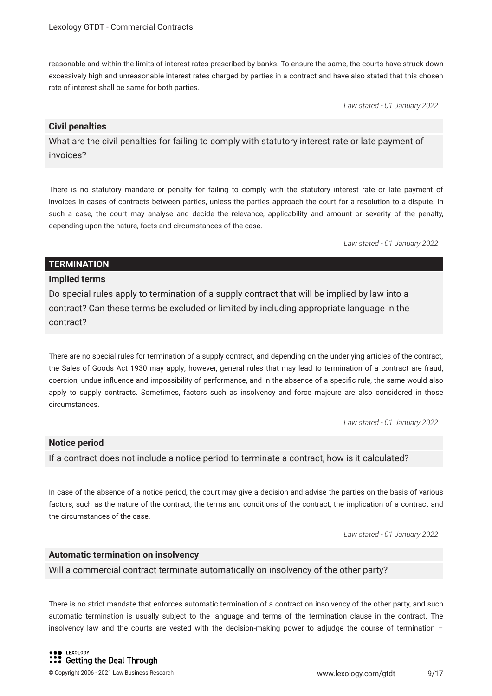reasonable and within the limits of interest rates prescribed by banks. To ensure the same, the courts have struck down excessively high and unreasonable interest rates charged by parties in a contract and have also stated that this chosen rate of interest shall be same for both parties.

*Law stated - 01 January 2022*

# **Civil penalties**

What are the civil penalties for failing to comply with statutory interest rate or late payment of invoices?

There is no statutory mandate or penalty for failing to comply with the statutory interest rate or late payment of invoices in cases of contracts between parties, unless the parties approach the court for a resolution to a dispute. In such a case, the court may analyse and decide the relevance, applicability and amount or severity of the penalty, depending upon the nature, facts and circumstances of the case.

*Law stated - 01 January 2022*

# **TERMINATION**

# **Implied terms**

Do special rules apply to termination of a supply contract that will be implied by law into a contract? Can these terms be excluded or limited by including appropriate language in the contract?

There are no special rules for termination of a supply contract, and depending on the underlying articles of the contract, the Sales of Goods Act 1930 may apply; however, general rules that may lead to termination of a contract are fraud, coercion, undue infuence and impossibility of performance, and in the absence of a specifc rule, the same would also apply to supply contracts. Sometimes, factors such as insolvency and force majeure are also considered in those circumstances.

*Law stated - 01 January 2022*

# **Notice period**

If a contract does not include a notice period to terminate a contract, how is it calculated?

In case of the absence of a notice period, the court may give a decision and advise the parties on the basis of various factors, such as the nature of the contract, the terms and conditions of the contract, the implication of a contract and the circumstances of the case.

*Law stated - 01 January 2022*

# **Automatic termination on insolvency**

Will a commercial contract terminate automatically on insolvency of the other party?

There is no strict mandate that enforces automatic termination of a contract on insolvency of the other party, and such automatic termination is usually subject to the language and terms of the termination clause in the contract. The insolvency law and the courts are vested with the decision-making power to adjudge the course of termination –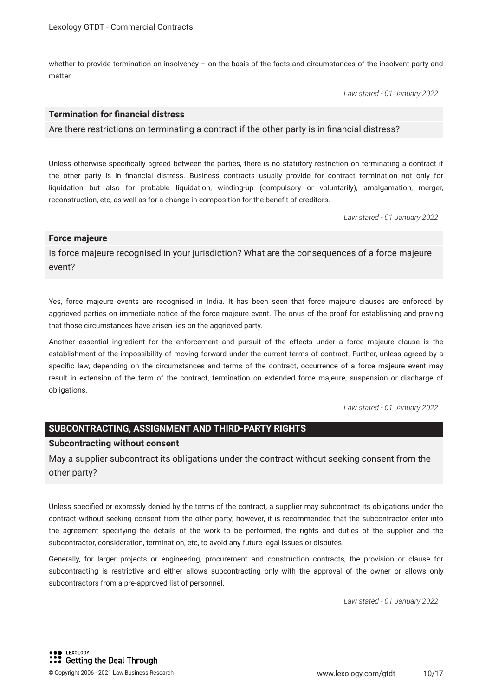whether to provide termination on insolvency - on the basis of the facts and circumstances of the insolvent party and matter.

*Law stated - 01 January 2022*

# **Termination for fnancial distress**

Are there restrictions on terminating a contract if the other party is in fnancial distress?

Unless otherwise specifcally agreed between the parties, there is no statutory restriction on terminating a contract if the other party is in fnancial distress. Business contracts usually provide for contract termination not only for liquidation but also for probable liquidation, winding-up (compulsory or voluntarily), amalgamation, merger, reconstruction, etc, as well as for a change in composition for the beneft of creditors.

*Law stated - 01 January 2022*

#### **Force majeure**

Is force majeure recognised in your jurisdiction? What are the consequences of a force majeure event?

Yes, force majeure events are recognised in India. It has been seen that force majeure clauses are enforced by aggrieved parties on immediate notice of the force majeure event. The onus of the proof for establishing and proving that those circumstances have arisen lies on the aggrieved party.

Another essential ingredient for the enforcement and pursuit of the effects under a force majeure clause is the establishment of the impossibility of moving forward under the current terms of contract. Further, unless agreed by a specifc law, depending on the circumstances and terms of the contract, occurrence of a force majeure event may result in extension of the term of the contract, termination on extended force majeure, suspension or discharge of obligations.

*Law stated - 01 January 2022*

# **SUBCONTRACTING, ASSIGNMENT AND THIRD-PARTY RIGHTS**

#### **Subcontracting without consent**

May a supplier subcontract its obligations under the contract without seeking consent from the other party?

Unless specifed or expressly denied by the terms of the contract, a supplier may subcontract its obligations under the contract without seeking consent from the other party; however, it is recommended that the subcontractor enter into the agreement specifying the details of the work to be performed, the rights and duties of the supplier and the subcontractor, consideration, termination, etc, to avoid any future legal issues or disputes.

Generally, for larger projects or engineering, procurement and construction contracts, the provision or clause for subcontracting is restrictive and either allows subcontracting only with the approval of the owner or allows only subcontractors from a pre-approved list of personnel.

*Law stated - 01 January 2022*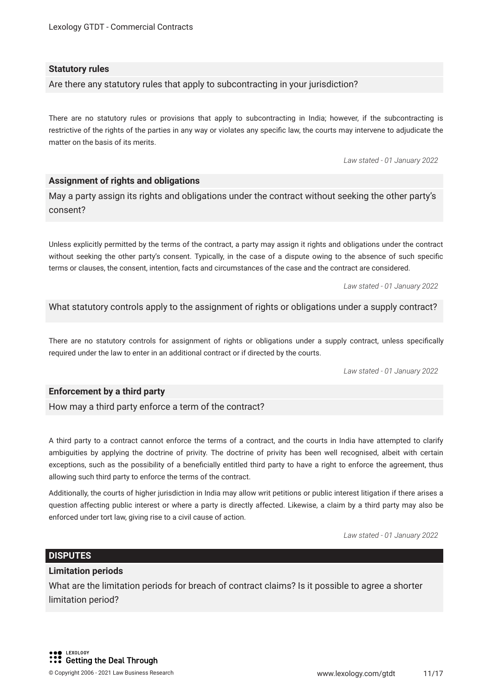# **Statutory rules**

Are there any statutory rules that apply to subcontracting in your jurisdiction?

There are no statutory rules or provisions that apply to subcontracting in India; however, if the subcontracting is restrictive of the rights of the parties in any way or violates any specifc law, the courts may intervene to adjudicate the matter on the basis of its merits.

*Law stated - 01 January 2022*

# **Assignment of rights and obligations**

May a party assign its rights and obligations under the contract without seeking the other party's consent?

Unless explicitly permitted by the terms of the contract, a party may assign it rights and obligations under the contract without seeking the other party's consent. Typically, in the case of a dispute owing to the absence of such specifc terms or clauses, the consent, intention, facts and circumstances of the case and the contract are considered.

*Law stated - 01 January 2022*

What statutory controls apply to the assignment of rights or obligations under a supply contract?

There are no statutory controls for assignment of rights or obligations under a supply contract, unless specifcally required under the law to enter in an additional contract or if directed by the courts.

*Law stated - 01 January 2022*

# **Enforcement by a third party**

How may a third party enforce a term of the contract?

A third party to a contract cannot enforce the terms of a contract, and the courts in India have attempted to clarify ambiguities by applying the doctrine of privity. The doctrine of privity has been well recognised, albeit with certain exceptions, such as the possibility of a benefcially entitled third party to have a right to enforce the agreement, thus allowing such third party to enforce the terms of the contract.

Additionally, the courts of higher jurisdiction in India may allow writ petitions or public interest litigation if there arises a question affecting public interest or where a party is directly affected. Likewise, a claim by a third party may also be enforced under tort law, giving rise to a civil cause of action.

*Law stated - 01 January 2022*

# **DISPUTES**

# **Limitation periods**

What are the limitation periods for breach of contract claims? Is it possible to agree a shorter limitation period?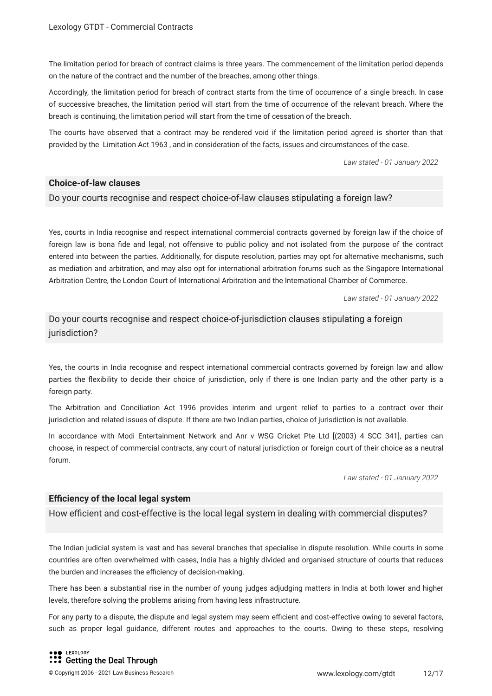The limitation period for breach of contract claims is three years. The commencement of the limitation period depends on the nature of the contract and the number of the breaches, among other things.

Accordingly, the limitation period for breach of contract starts from the time of occurrence of a single breach. In case of successive breaches, the limitation period will start from the time of occurrence of the relevant breach. Where the breach is continuing, the limitation period will start from the time of cessation of the breach.

The courts have observed that a contract may be rendered void if the limitation period agreed is shorter than that provided by the Limitation Act 1963 , and in consideration of the facts, issues and circumstances of the case.

*Law stated - 01 January 2022*

# **Choice-of-law clauses**

Do your courts recognise and respect choice-of-law clauses stipulating a foreign law?

Yes, courts in India recognise and respect international commercial contracts governed by foreign law if the choice of foreign law is bona fde and legal, not offensive to public policy and not isolated from the purpose of the contract entered into between the parties. Additionally, for dispute resolution, parties may opt for alternative mechanisms, such as mediation and arbitration, and may also opt for international arbitration forums such as the Singapore International Arbitration Centre, the London Court of International Arbitration and the International Chamber of Commerce.

*Law stated - 01 January 2022*

Do your courts recognise and respect choice-of-jurisdiction clauses stipulating a foreign jurisdiction?

Yes, the courts in India recognise and respect international commercial contracts governed by foreign law and allow parties the fexibility to decide their choice of jurisdiction, only if there is one Indian party and the other party is a foreign party.

The Arbitration and Conciliation Act 1996 provides interim and urgent relief to parties to a contract over their jurisdiction and related issues of dispute. If there are two Indian parties, choice of jurisdiction is not available.

In accordance with Modi Entertainment Network and Anr v WSG Cricket Pte Ltd [(2003) 4 SCC 341], parties can choose, in respect of commercial contracts, any court of natural jurisdiction or foreign court of their choice as a neutral forum.

*Law stated - 01 January 2022*

# **Efficiency of the local legal system**

How efficient and cost-effective is the local legal system in dealing with commercial disputes?

The Indian judicial system is vast and has several branches that specialise in dispute resolution. While courts in some countries are often overwhelmed with cases, India has a highly divided and organised structure of courts that reduces the burden and increases the efficiency of decision-making.

There has been a substantial rise in the number of young judges adjudging matters in India at both lower and higher levels, therefore solving the problems arising from having less infrastructure.

For any party to a dispute, the dispute and legal system may seem efficient and cost-effective owing to several factors, such as proper legal guidance, different routes and approaches to the courts. Owing to these steps, resolving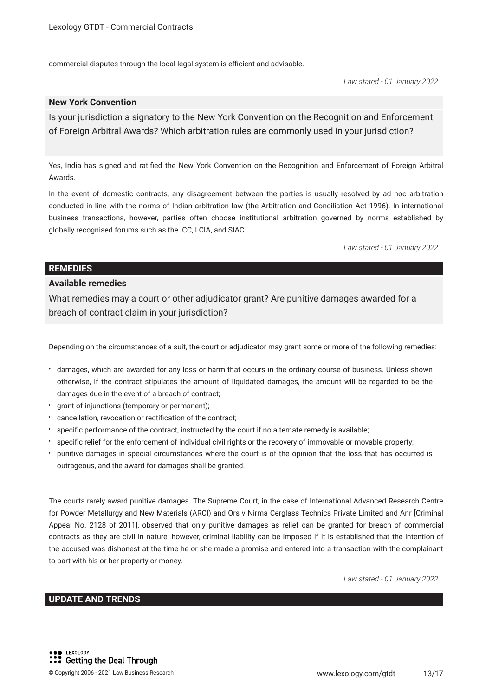commercial disputes through the local legal system is efficient and advisable.

*Law stated - 01 January 2022*

# **New York Convention**

Is your jurisdiction a signatory to the New York Convention on the Recognition and Enforcement of Foreign Arbitral Awards? Which arbitration rules are commonly used in your jurisdiction?

Yes, India has signed and ratifed the New York Convention on the Recognition and Enforcement of Foreign Arbitral Awards.

In the event of domestic contracts, any disagreement between the parties is usually resolved by ad hoc arbitration conducted in line with the norms of Indian arbitration law (the Arbitration and Conciliation Act 1996). In international business transactions, however, parties often choose institutional arbitration governed by norms established by globally recognised forums such as the ICC, LCIA, and SIAC.

*Law stated - 01 January 2022*

# **REMEDIES**

# **Available remedies**

What remedies may a court or other adjudicator grant? Are punitive damages awarded for a breach of contract claim in your jurisdiction?

Depending on the circumstances of a suit, the court or adjudicator may grant some or more of the following remedies:

- damages, which are awarded for any loss or harm that occurs in the ordinary course of business. Unless shown otherwise, if the contract stipulates the amount of liquidated damages, the amount will be regarded to be the damages due in the event of a breach of contract;
- grant of injunctions (temporary or permanent);
- cancellation, revocation or rectifcation of the contract;
- specifc performance of the contract, instructed by the court if no alternate remedy is available;
- specifc relief for the enforcement of individual civil rights or the recovery of immovable or movable property;
- punitive damages in special circumstances where the court is of the opinion that the loss that has occurred is outrageous, and the award for damages shall be granted.

The courts rarely award punitive damages. The Supreme Court, in the case of International Advanced Research Centre for Powder Metallurgy and New Materials (ARCI) and Ors v Nirma Cerglass Technics Private Limited and Anr [Criminal Appeal No. 2128 of 2011], observed that only punitive damages as relief can be granted for breach of commercial contracts as they are civil in nature; however, criminal liability can be imposed if it is established that the intention of the accused was dishonest at the time he or she made a promise and entered into a transaction with the complainant to part with his or her property or money.

*Law stated - 01 January 2022*

# **UPDATE AND TRENDS**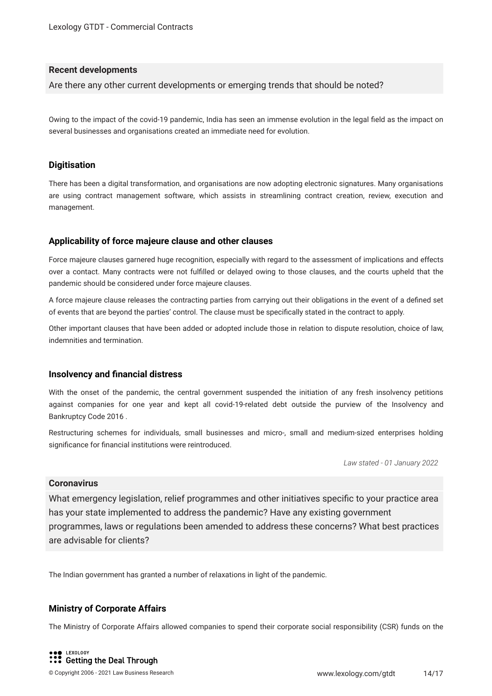# **Recent developments**

Are there any other current developments or emerging trends that should be noted?

Owing to the impact of the covid-19 pandemic, India has seen an immense evolution in the legal feld as the impact on several businesses and organisations created an immediate need for evolution.

# **Digitisation**

There has been a digital transformation, and organisations are now adopting electronic signatures. Many organisations are using contract management software, which assists in streamlining contract creation, review, execution and management.

# **Applicability of force majeure clause and other clauses**

Force majeure clauses garnered huge recognition, especially with regard to the assessment of implications and effects over a contact. Many contracts were not fulflled or delayed owing to those clauses, and the courts upheld that the pandemic should be considered under force majeure clauses.

A force majeure clause releases the contracting parties from carrying out their obligations in the event of a defned set of events that are beyond the parties' control. The clause must be specifcally stated in the contract to apply.

Other important clauses that have been added or adopted include those in relation to dispute resolution, choice of law, indemnities and termination.

# **Insolvency and fnancial distress**

With the onset of the pandemic, the central government suspended the initiation of any fresh insolvency petitions against companies for one year and kept all covid-19-related debt outside the purview of the Insolvency and Bankruptcy Code 2016 .

Restructuring schemes for individuals, small businesses and micro-, small and medium-sized enterprises holding signifcance for fnancial institutions were reintroduced.

*Law stated - 01 January 2022*

# **Coronavirus**

What emergency legislation, relief programmes and other initiatives specific to your practice area has your state implemented to address the pandemic? Have any existing government programmes, laws or regulations been amended to address these concerns? What best practices are advisable for clients?

The Indian government has granted a number of relaxations in light of the pandemic.

# **Ministry of Corporate Affairs**

The Ministry of Corporate Affairs allowed companies to spend their corporate social responsibility (CSR) funds on the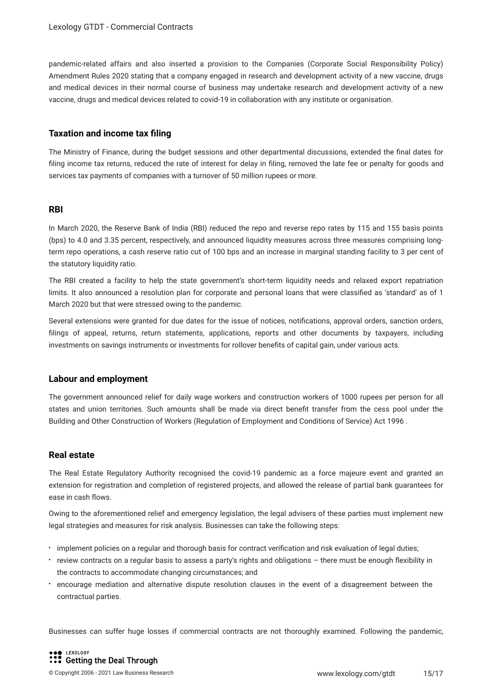pandemic-related affairs and also inserted a provision to the Companies (Corporate Social Responsibility Policy) Amendment Rules 2020 stating that a company engaged in research and development activity of a new vaccine, drugs and medical devices in their normal course of business may undertake research and development activity of a new vaccine, drugs and medical devices related to covid-19 in collaboration with any institute or organisation.

# **Taxation and income tax fling**

The Ministry of Finance, during the budget sessions and other departmental discussions, extended the fnal dates for filing income tax returns, reduced the rate of interest for delay in filing, removed the late fee or penalty for goods and services tax payments of companies with a turnover of 50 million rupees or more.

#### **RBI**

In March 2020, the Reserve Bank of India (RBI) reduced the repo and reverse repo rates by 115 and 155 basis points (bps) to 4.0 and 3.35 percent, respectively, and announced liquidity measures across three measures comprising longterm repo operations, a cash reserve ratio cut of 100 bps and an increase in marginal standing facility to 3 per cent of the statutory liquidity ratio.

The RBI created a facility to help the state government's short-term liquidity needs and relaxed export repatriation limits. It also announced a resolution plan for corporate and personal loans that were classifed as 'standard' as of 1 March 2020 but that were stressed owing to the pandemic.

Several extensions were granted for due dates for the issue of notices, notifcations, approval orders, sanction orders, flings of appeal, returns, return statements, applications, reports and other documents by taxpayers, including investments on savings instruments or investments for rollover benefts of capital gain, under various acts.

# **Labour and employment**

The government announced relief for daily wage workers and construction workers of 1000 rupees per person for all states and union territories. Such amounts shall be made via direct beneft transfer from the cess pool under the Building and Other Construction of Workers (Regulation of Employment and Conditions of Service) Act 1996 .

# **Real estate**

The Real Estate Regulatory Authority recognised the covid-19 pandemic as a force majeure event and granted an extension for registration and completion of registered projects, and allowed the release of partial bank guarantees for ease in cash fows.

Owing to the aforementioned relief and emergency legislation, the legal advisers of these parties must implement new legal strategies and measures for risk analysis. Businesses can take the following steps:

- $\cdot$  implement policies on a regular and thorough basis for contract verification and risk evaluation of legal duties;
- review contracts on a regular basis to assess a party's rights and obligations there must be enough flexibility in the contracts to accommodate changing circumstances; and
- encourage mediation and alternative dispute resolution clauses in the event of a disagreement between the contractual parties.

Businesses can suffer huge losses if commercial contracts are not thoroughly examined. Following the pandemic,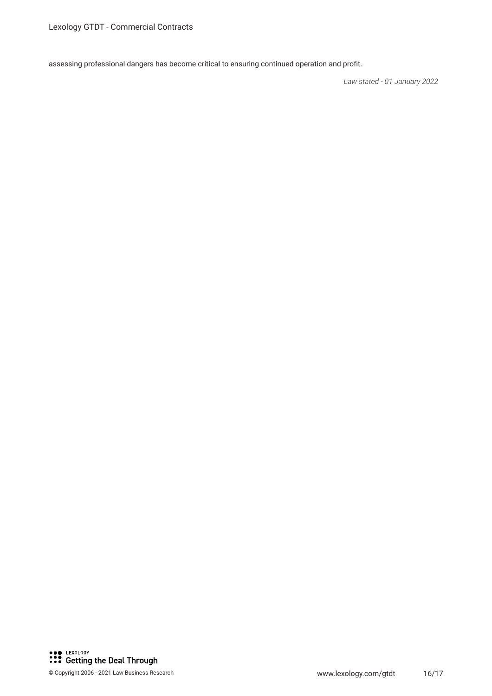assessing professional dangers has become critical to ensuring continued operation and proft.

*Law stated - 01 January 2022*